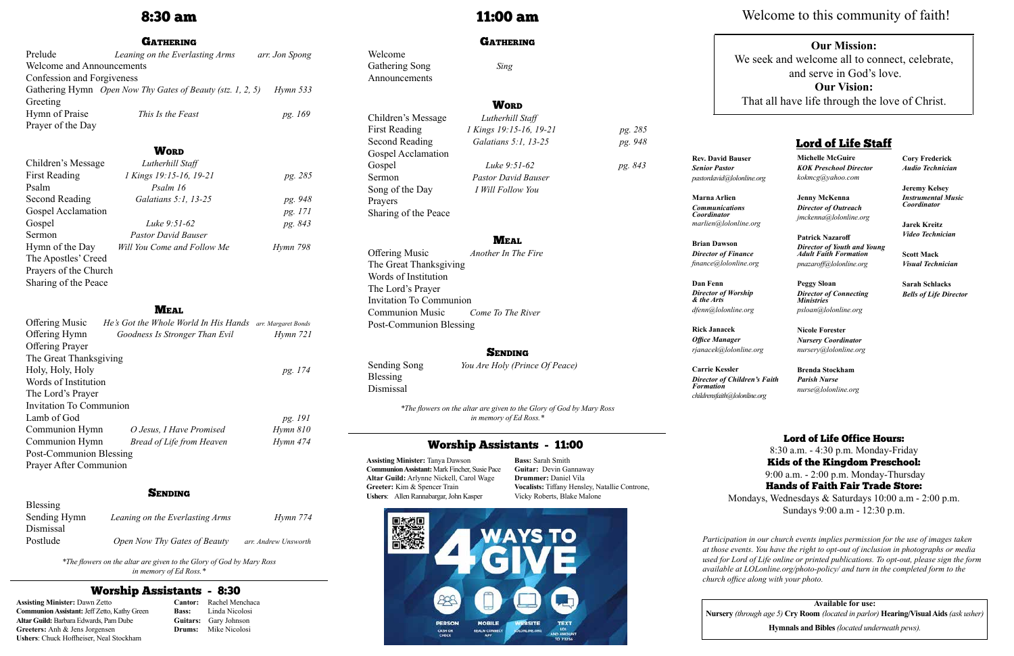# 8:30 am

#### **GATHERING**

| Prelude                          | Leaning on the Everlasting Arms                            | arr. Jon Spong         |  |  |
|----------------------------------|------------------------------------------------------------|------------------------|--|--|
| <b>Welcome and Announcements</b> |                                                            |                        |  |  |
| Confession and Forgiveness       |                                                            |                        |  |  |
|                                  | Gathering Hymn Open Now Thy Gates of Beauty (stz. 1, 2, 5) | $H$ <sub>ymn</sub> 533 |  |  |
| Greeting                         |                                                            |                        |  |  |
| Hymn of Praise                   | This Is the Feast                                          | pg. 169                |  |  |
| Prayer of the Day                |                                                            |                        |  |  |

### **WORD**

| Children's Message    | Lutherhill Staff            |          |
|-----------------------|-----------------------------|----------|
| <b>First Reading</b>  | 1 Kings 19:15-16, 19-21     | pg. 285  |
| Psalm                 | Psalm 16                    |          |
| Second Reading        | Galatians 5:1, 13-25        | pg. 948  |
| Gospel Acclamation    |                             | pg. 171  |
| Gospel                | Luke $9:51-62$              | pg. 843  |
| Sermon                | <b>Pastor David Bauser</b>  |          |
| Hymn of the Day       | Will You Come and Follow Me | Hymn 798 |
| The Apostles' Creed   |                             |          |
| Prayers of the Church |                             |          |
| Sharing of the Peace  |                             |          |

### **MEAL**

| <b>Offering Music</b>   | He's Got the Whole World In His Hands | arr. Margaret Bonds |  |  |
|-------------------------|---------------------------------------|---------------------|--|--|
| Offering Hymn           | Goodness Is Stronger Than Evil        | Hymn 721            |  |  |
| <b>Offering Prayer</b>  |                                       |                     |  |  |
| The Great Thanksgiving  |                                       |                     |  |  |
| Holy, Holy, Holy        |                                       | pg. 174             |  |  |
| Words of Institution    |                                       |                     |  |  |
| The Lord's Prayer       |                                       |                     |  |  |
| Invitation To Communion |                                       |                     |  |  |
| Lamb of God             |                                       | pg. 191             |  |  |
| Communion Hymn          | O Jesus, I Have Promised              | $Hymn$ 810          |  |  |
| Communion Hymn          | <b>Bread of Life from Heaven</b>      | Hymn 474            |  |  |
| Post-Communion Blessing |                                       |                     |  |  |
| Prayer After Communion  |                                       |                     |  |  |
|                         |                                       |                     |  |  |

## **SENDING**

| Blessing     |                                 |                      |
|--------------|---------------------------------|----------------------|
| Sending Hymn | Leaning on the Everlasting Arms | Hymn 774             |
| Dismissal    |                                 |                      |
| Postlude     | Open Now Thy Gates of Beauty    | arr. Andrew Unsworth |

*\*The flowers on the altar are given to the Glory of God by Mary Ross in memory of Ed Ross.\**

# 11:00 am

### **GATHERING**

Welcome

Gathering Song *Sing*

Announcements

Children's Message *Lutherhill Staff* First Reading *1 Kings 19:15-16, 19-21 pg. 285* Second Reading *Galatians 5:1, 13-25 pg. 948*

Gospel Acclamation

Gospel *Luke 9:51-62 pg. 843* Sermon *Pastor David Bauser* Song of the Day *I Will Follow You*

## **MEAL**

Prayers

Sharing of the Peace

## **WORD**

Offering Music *Another In The Fire* The Great Thanksgiving Words of Institution The Lord's Prayer Invitation To Communion Communion Music *Come To The River* Post-Communion Blessing

## **SENDING**

Sending Song*You Are Holy (Prince Of Peace)*

Blessing Dismissal

> *\*The flowers on the altar are given to the Glory of God by Mary Ross in memory of Ed Ross.\**

## Worship Assistants - 8:30

**Assisting Minister:** Dawn Zetto **Communion Assistant:** Jeff Zetto, Kathy Green **Altar Guild:** Barbara Edwards, Pam Dube **Greeters:** Anh & Jens Jorgensen **Ushers**: Chuck Hoffheiser, Neal Stockham

**Cantor:** Rachel Menchaca **Bass:** Linda Nicolosi **Guitars:** Gary Johnson **Drums:** Mike Nicolosi

## Worship Assistants - 11:00

**Assisting Minister:** Tanya Dawson **Communion Assistant:** Mark Fincher, Susie Pace **Altar Guild:** Arlynne Nickell, Carol Wage **Greeter:** Kim & Spencer Train **Ushers**: Allen Rannabargar, John Kasper

**Bass:** Sarah Smith **Guitar:** Devin Gannaway **Drummer:** Daniel Vila **Vocalists:** Tiffany Hensley, Natallie Controne, Vicky Roberts, Blake Malone



**Rev. David Bauser** *Senior Pastor pastordavid@lolonline.org*

**Marna Arlien** *Communications Coordinator marlien@lolonline.org*

**Brian Dawson** *Director of Finance finance@lolonline.org*

**Dan Fenn** *Director of Worship & the Arts dfenn@lolonline.org*

**Rick Janacek** *Office Manager rjanacek@lolonline.org*

**Carrie Kessler** *Director of Children's Faith Formation childrensfaith@lolonline.org*

**Michelle McGuire** *KOK Preschool Director kokmcg@yahoo.com*

**Jenny McKenna**  *Director of Outreach jmckenna@lolonline.org*

**Patrick Nazaroff** *Director of Youth and Young Adult Faith Formation pnazaroff@lolonline.org*

**Peggy Sloan**  *Director of Connecting Ministries psloan@lolonline.org*

**Nicole Forester** *Nursery Coordinator nursery@lolonline.org*

**Brenda Stockham** *Parish Nurse nurse@lolonline.org* **Cory Frederick** *Audio Technician*

**Jeremy Kelsey** *Instrumental Music Coordinator*

**Jarek Kreitz** *Video Technician*

**Scott Mack** *Visual Technician*

**Sarah Schlacks** *Bells of Life Director*

## Lord of Life Staff

**Available for use: Nursery** *(through age 5)* **Cry Room** *(located in parlor)* **Hearing/Visual Aids** *(ask usher)*

**Hymnals and Bibles** *(located underneath pews).*

## **Our Mission:**

We seek and welcome all to connect, celebrate, and serve in God's love. **Our Vision:** That all have life through the love of Christ.

*Participation in our church events implies permission for the use of images taken at those events. You have the right to opt-out of inclusion in photographs or media used for Lord of Life online or printed publications. To opt-out, please sign the form available at LOLonline.org/photo-policy/ and turn in the completed form to the church office along with your photo.*

## Lord of Life Office Hours:

8:30 a.m. - 4:30 p.m. Monday-Friday Kids of the Kingdom Preschool: 9:00 a.m. - 2:00 p.m. Monday-Thursday Hands of Faith Fair Trade Store:

Mondays, Wednesdays & Saturdays 10:00 a.m - 2:00 p.m. Sundays 9:00 a.m - 12:30 p.m.

# Welcome to this community of faith!